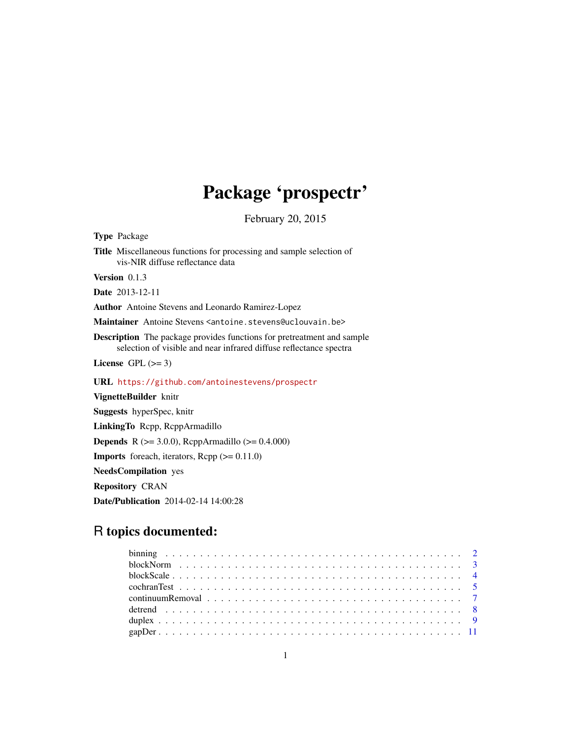# Package 'prospectr'

February 20, 2015

<span id="page-0-0"></span>Type Package Title Miscellaneous functions for processing and sample selection of vis-NIR diffuse reflectance data Version 0.1.3

Date 2013-12-11

Author Antoine Stevens and Leonardo Ramirez-Lopez

Maintainer Antoine Stevens <antoine.stevens@uclouvain.be>

Description The package provides functions for pretreatment and sample selection of visible and near infrared diffuse reflectance spectra

License GPL  $(>= 3)$ 

URL <https://github.com/antoinestevens/prospectr>

VignetteBuilder knitr Suggests hyperSpec, knitr LinkingTo Rcpp, RcppArmadillo **Depends** R ( $>= 3.0.0$ ), RcppArmadillo ( $>= 0.4.000$ ) Imports foreach, iterators, Rcpp (>= 0.11.0) NeedsCompilation yes Repository CRAN Date/Publication 2014-02-14 14:00:28

# R topics documented: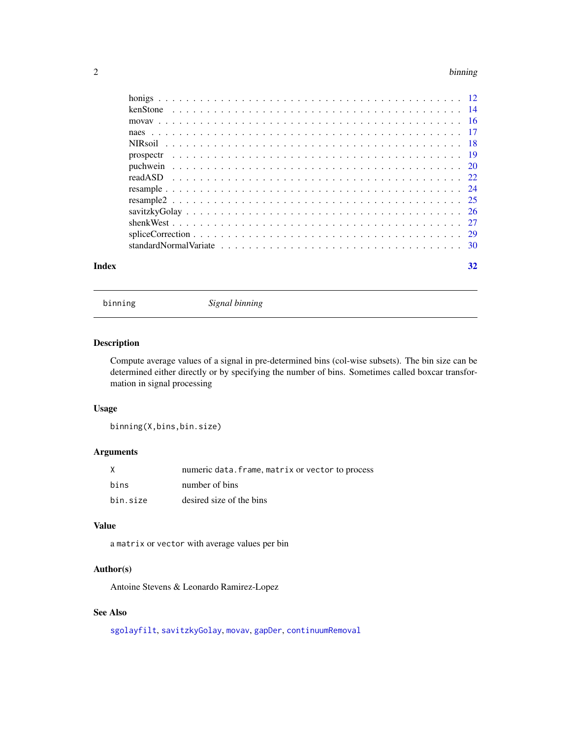#### <span id="page-1-0"></span>2 binning the contract of the contract of the contract of the contract of the contract of the contract of the contract of the contract of the contract of the contract of the contract of the contract of the contract of the

|       | standard Normal Variate $\ldots$ , $\ldots$ , $\ldots$ , $\ldots$ , $\ldots$ , $\ldots$ , $\ldots$ , $\ldots$ , $\ldots$ , $\ldots$ , $\ldots$ , $\ldots$ |    |
|-------|-----------------------------------------------------------------------------------------------------------------------------------------------------------|----|
| Index |                                                                                                                                                           | 32 |

<span id="page-1-1"></span>binning *Signal binning*

# Description

Compute average values of a signal in pre-determined bins (col-wise subsets). The bin size can be determined either directly or by specifying the number of bins. Sometimes called boxcar transformation in signal processing

#### Usage

binning(X,bins,bin.size)

# Arguments

| X        | numeric data. frame, matrix or vector to process |
|----------|--------------------------------------------------|
| bins     | number of bins                                   |
| bin.size | desired size of the bins                         |

# Value

a matrix or vector with average values per bin

# Author(s)

Antoine Stevens & Leonardo Ramirez-Lopez

# See Also

[sgolayfilt](#page-0-0), [savitzkyGolay](#page-25-1), [movav](#page-15-1), [gapDer](#page-10-1), [continuumRemoval](#page-6-1)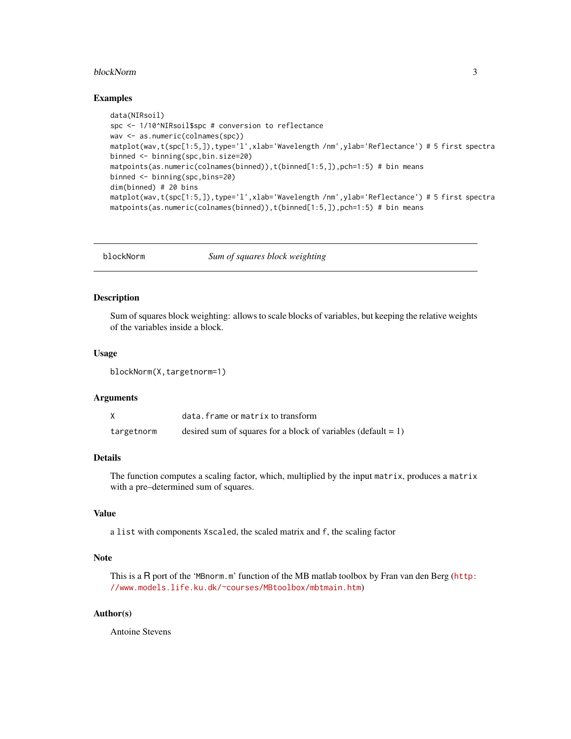#### <span id="page-2-0"></span>blockNorm 3

#### Examples

```
data(NIRsoil)
spc <- 1/10^NIRsoil$spc # conversion to reflectance
wav <- as.numeric(colnames(spc))
matplot(wav,t(spc[1:5,]),type='l',xlab='Wavelength /nm',ylab='Reflectance') # 5 first spectra
binned <- binning(spc,bin.size=20)
matpoints(as.numeric(colnames(binned)),t(binned[1:5,]),pch=1:5) # bin means
binned <- binning(spc,bins=20)
dim(binned) # 20 bins
matplot(wav,t(spc[1:5,]),type='l',xlab='Wavelength /nm',ylab='Reflectance') # 5 first spectra
matpoints(as.numeric(colnames(binned)),t(binned[1:5,]),pch=1:5) # bin means
```
<span id="page-2-1"></span>blockNorm *Sum of squares block weighting*

#### Description

Sum of squares block weighting: allows to scale blocks of variables, but keeping the relative weights of the variables inside a block.

# Usage

blockNorm(X,targetnorm=1)

#### Arguments

|            | data. frame or matrix to transform                               |
|------------|------------------------------------------------------------------|
| targetnorm | desired sum of squares for a block of variables (default $= 1$ ) |

#### Details

The function computes a scaling factor, which, multiplied by the input matrix, produces a matrix with a pre–determined sum of squares.

# Value

a list with components Xscaled, the scaled matrix and f, the scaling factor

# Note

This is a R port of the 'MBnorm.m' function of the MB matlab toolbox by Fran van den Berg ([http:](http://www.models.life.ku.dk/~courses/MBtoolbox/mbtmain.htm) [//www.models.life.ku.dk/~courses/MBtoolbox/mbtmain.htm](http://www.models.life.ku.dk/~courses/MBtoolbox/mbtmain.htm))

# Author(s)

Antoine Stevens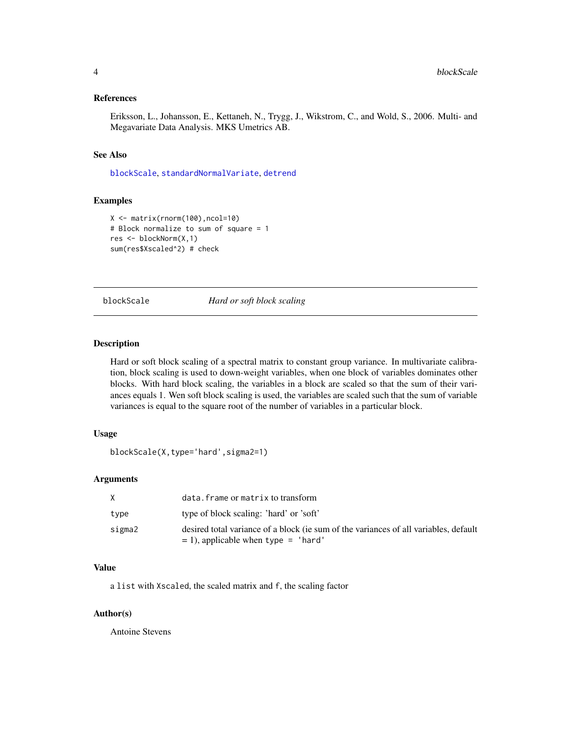#### <span id="page-3-0"></span>References

Eriksson, L., Johansson, E., Kettaneh, N., Trygg, J., Wikstrom, C., and Wold, S., 2006. Multi- and Megavariate Data Analysis. MKS Umetrics AB.

#### See Also

[blockScale](#page-3-1), [standardNormalVariate](#page-29-1), [detrend](#page-7-1)

# Examples

```
X <- matrix(rnorm(100),ncol=10)
# Block normalize to sum of square = 1
res <- blockNorm(X,1)
sum(res$Xscaled^2) # check
```
<span id="page-3-1"></span>blockScale *Hard or soft block scaling*

# Description

Hard or soft block scaling of a spectral matrix to constant group variance. In multivariate calibration, block scaling is used to down-weight variables, when one block of variables dominates other blocks. With hard block scaling, the variables in a block are scaled so that the sum of their variances equals 1. Wen soft block scaling is used, the variables are scaled such that the sum of variable variances is equal to the square root of the number of variables in a particular block.

# Usage

```
blockScale(X,type='hard',sigma2=1)
```
# Arguments

| X      | data.frame or matrix to transform                                                                                                |
|--------|----------------------------------------------------------------------------------------------------------------------------------|
| type   | type of block scaling: 'hard' or 'soft'                                                                                          |
| sigma2 | desired total variance of a block (ie sum of the variances of all variables, default<br>$= 1$ ), applicable when type $=$ 'hard' |

#### Value

a list with Xscaled, the scaled matrix and f, the scaling factor

#### Author(s)

Antoine Stevens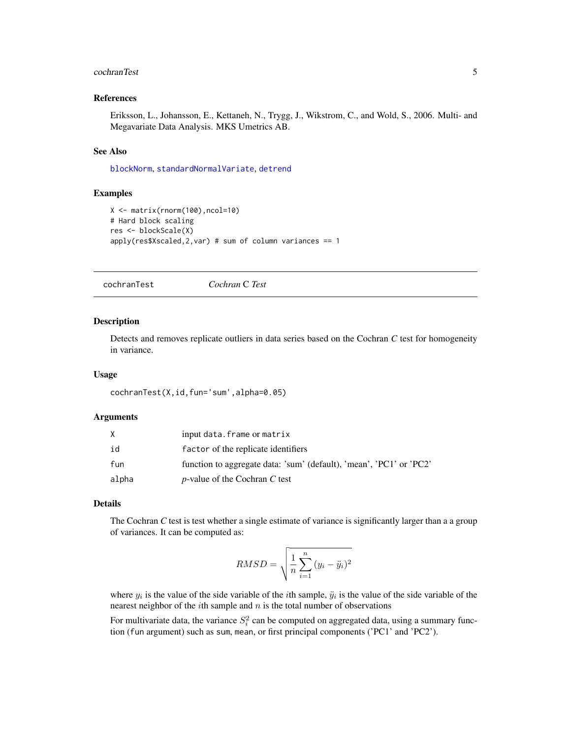#### <span id="page-4-0"></span>cochranTest 5

#### References

Eriksson, L., Johansson, E., Kettaneh, N., Trygg, J., Wikstrom, C., and Wold, S., 2006. Multi- and Megavariate Data Analysis. MKS Umetrics AB.

#### See Also

[blockNorm](#page-2-1), [standardNormalVariate](#page-29-1), [detrend](#page-7-1)

#### Examples

```
X <- matrix(rnorm(100),ncol=10)
# Hard block scaling
res <- blockScale(X)
apply(res$Xscaled,2,var) # sum of column variances == 1
```
<span id="page-4-1"></span>cochranTest *Cochran* C *Test*

#### Description

Detects and removes replicate outliers in data series based on the Cochran *C* test for homogeneity in variance.

#### Usage

```
cochranTest(X,id,fun='sum',alpha=0.05)
```
#### Arguments

|       | input data. frame or matrix                                         |
|-------|---------------------------------------------------------------------|
| id    | factor of the replicate identifiers                                 |
| fun   | function to aggregate data: 'sum' (default), 'mean', 'PC1' or 'PC2' |
| alpha | <i>p</i> -value of the Cochran C test                               |

#### Details

The Cochran *C* test is test whether a single estimate of variance is significantly larger than a a group of variances. It can be computed as:

$$
RMSD = \sqrt{\frac{1}{n} \sum_{i=1}^{n} (y_i - \ddot{y}_i)^2}
$$

where  $y_i$  is the value of the side variable of the *i*th sample,  $\ddot{y}_i$  is the value of the side variable of the nearest neighbor of the *i*th sample and  $n$  is the total number of observations

For multivariate data, the variance  $S_i^2$  can be computed on aggregated data, using a summary function (fun argument) such as sum, mean, or first principal components ('PC1' and 'PC2').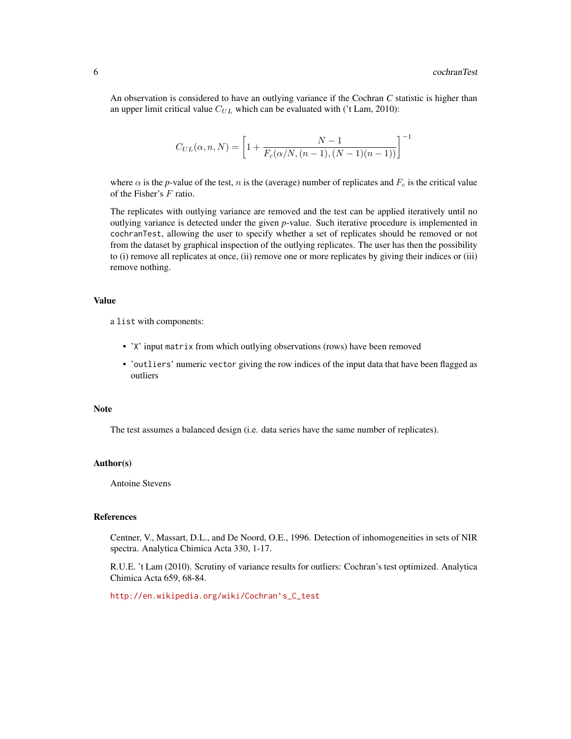An observation is considered to have an outlying variance if the Cochran *C* statistic is higher than an upper limit critical value  $C_{UL}$  which can be evaluated with ('t Lam, 2010):

$$
C_{UL}(\alpha, n, N) = \left[1 + \frac{N - 1}{F_c(\alpha/N, (n - 1), (N - 1)(n - 1))}\right]^{-1}
$$

where  $\alpha$  is the *p*-value of the test, *n* is the (average) number of replicates and  $F_c$  is the critical value of the Fisher's F ratio.

The replicates with outlying variance are removed and the test can be applied iteratively until no outlying variance is detected under the given *p*-value. Such iterative procedure is implemented in cochranTest, allowing the user to specify whether a set of replicates should be removed or not from the dataset by graphical inspection of the outlying replicates. The user has then the possibility to (i) remove all replicates at once, (ii) remove one or more replicates by giving their indices or (iii) remove nothing.

#### Value

a list with components:

- 'X' input matrix from which outlying observations (rows) have been removed
- 'outliers' numeric vector giving the row indices of the input data that have been flagged as outliers

#### Note

The test assumes a balanced design (i.e. data series have the same number of replicates).

#### Author(s)

Antoine Stevens

#### References

Centner, V., Massart, D.L., and De Noord, O.E., 1996. Detection of inhomogeneities in sets of NIR spectra. Analytica Chimica Acta 330, 1-17.

R.U.E. 't Lam (2010). Scrutiny of variance results for outliers: Cochran's test optimized. Analytica Chimica Acta 659, 68-84.

[http://en.wikipedia.org/wiki/Cochran's\\_C\\_test](http://en.wikipedia.org/wiki/Cochran)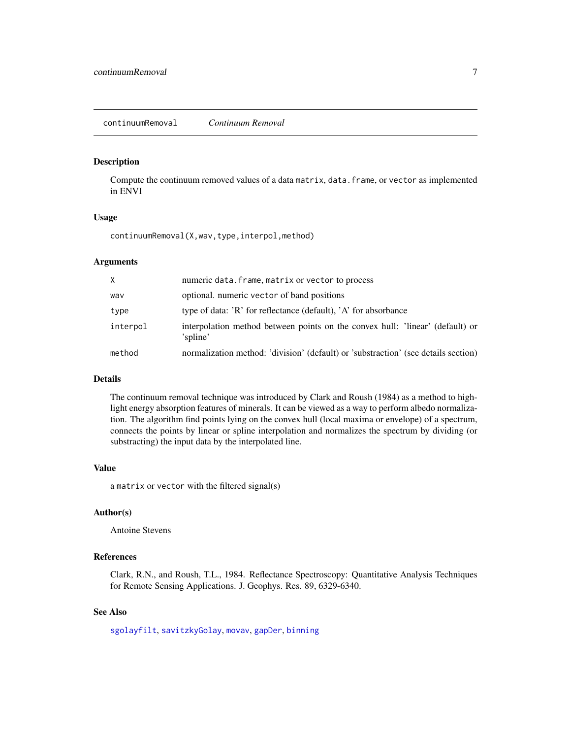#### <span id="page-6-1"></span><span id="page-6-0"></span>Description

Compute the continuum removed values of a data matrix, data.frame, or vector as implemented in ENVI

#### Usage

continuumRemoval(X,wav,type,interpol,method)

# Arguments

| $\times$ | numeric data. frame, matrix or vector to process                                          |
|----------|-------------------------------------------------------------------------------------------|
| wav      | optional. numeric vector of band positions                                                |
| type     | type of data: 'R' for reflectance (default), 'A' for absorbance                           |
| interpol | interpolation method between points on the convex hull: 'linear' (default) or<br>'spline' |
| method   | normalization method: 'division' (default) or 'substraction' (see details section)        |

#### Details

The continuum removal technique was introduced by Clark and Roush (1984) as a method to highlight energy absorption features of minerals. It can be viewed as a way to perform albedo normalization. The algorithm find points lying on the convex hull (local maxima or envelope) of a spectrum, connects the points by linear or spline interpolation and normalizes the spectrum by dividing (or substracting) the input data by the interpolated line.

#### Value

a matrix or vector with the filtered signal(s)

#### Author(s)

Antoine Stevens

# References

Clark, R.N., and Roush, T.L., 1984. Reflectance Spectroscopy: Quantitative Analysis Techniques for Remote Sensing Applications. J. Geophys. Res. 89, 6329-6340.

# See Also

[sgolayfilt](#page-0-0), [savitzkyGolay](#page-25-1), [movav](#page-15-1), [gapDer](#page-10-1), [binning](#page-1-1)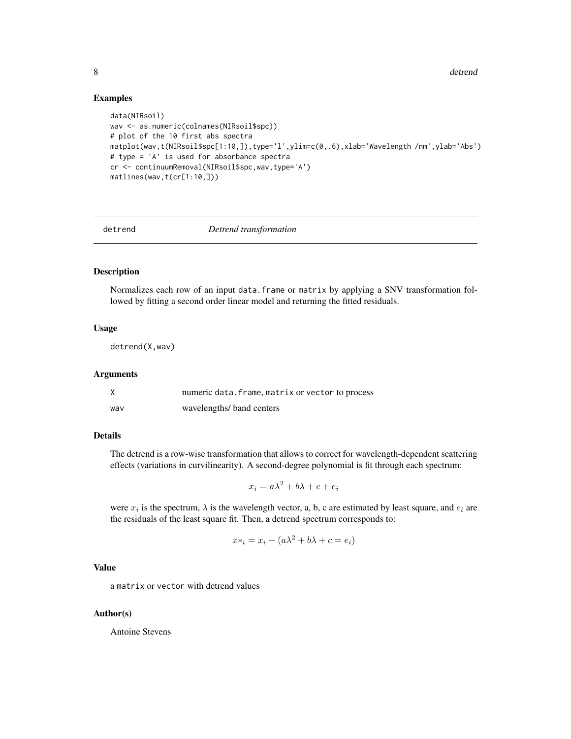## Examples

```
data(NIRsoil)
wav <- as.numeric(colnames(NIRsoil$spc))
# plot of the 10 first abs spectra
matplot(wav,t(NIRsoil$spc[1:10,]),type='l',ylim=c(0,.6),xlab='Wavelength /nm',ylab='Abs')
# type = 'A' is used for absorbance spectra
cr <- continuumRemoval(NIRsoil$spc,wav,type='A')
matlines(wav,t(cr[1:10,]))
```
<span id="page-7-1"></span>

detrend *Detrend transformation*

# Description

Normalizes each row of an input data.frame or matrix by applying a SNV transformation followed by fitting a second order linear model and returning the fitted residuals.

# Usage

detrend(X,wav)

#### Arguments

|     | numeric data. frame, matrix or vector to process |
|-----|--------------------------------------------------|
| wav | wavelengths/ band centers                        |

# Details

The detrend is a row-wise transformation that allows to correct for wavelength-dependent scattering effects (variations in curvilinearity). A second-degree polynomial is fit through each spectrum:

$$
x_i = a\lambda^2 + b\lambda + c + e_i
$$

were  $x_i$  is the spectrum,  $\lambda$  is the wavelength vector, a, b, c are estimated by least square, and  $e_i$  are the residuals of the least square fit. Then, a detrend spectrum corresponds to:

$$
x*_i = x_i - (a\lambda^2 + b\lambda + c = e_i)
$$

#### Value

a matrix or vector with detrend values

#### Author(s)

Antoine Stevens

<span id="page-7-0"></span>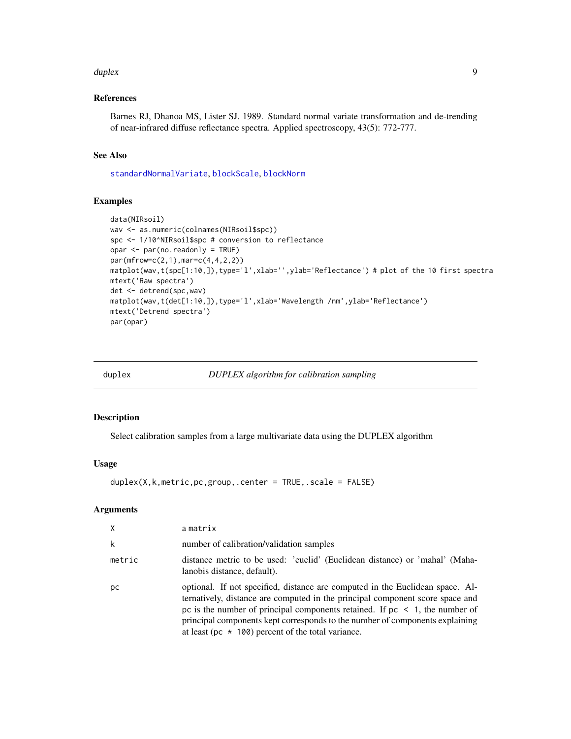#### <span id="page-8-0"></span>duplex **9** and the contract of the contract of the contract of the contract of the contract of the contract of the contract of the contract of the contract of the contract of the contract of the contract of the contract of

# References

Barnes RJ, Dhanoa MS, Lister SJ. 1989. Standard normal variate transformation and de-trending of near-infrared diffuse reflectance spectra. Applied spectroscopy, 43(5): 772-777.

#### See Also

[standardNormalVariate](#page-29-1), [blockScale](#page-3-1), [blockNorm](#page-2-1)

#### Examples

```
data(NIRsoil)
wav <- as.numeric(colnames(NIRsoil$spc))
spc <- 1/10^NIRsoil$spc # conversion to reflectance
opar <- par(no.readonly = TRUE)
par(mfrow=c(2,1),mar=c(4,4,2,2))
matplot(wav,t(spc[1:10,]),type='l',xlab='',ylab='Reflectance') # plot of the 10 first spectra
mtext('Raw spectra')
det <- detrend(spc,wav)
matplot(wav,t(det[1:10,]),type='l',xlab='Wavelength /nm',ylab='Reflectance')
mtext('Detrend spectra')
par(opar)
```
<span id="page-8-1"></span>duplex *DUPLEX algorithm for calibration sampling*

#### Description

Select calibration samples from a large multivariate data using the DUPLEX algorithm

#### Usage

duplex(X,k,metric,pc,group,.center = TRUE,.scale = FALSE)

#### Arguments

| $\times$ | amatrix                                                                                                                                                                                                                                                                                                                                                                                      |
|----------|----------------------------------------------------------------------------------------------------------------------------------------------------------------------------------------------------------------------------------------------------------------------------------------------------------------------------------------------------------------------------------------------|
| k        | number of calibration/validation samples                                                                                                                                                                                                                                                                                                                                                     |
| metric   | distance metric to be used: 'euclid' (Euclidean distance) or 'mahal' (Maha-<br>lanobis distance, default).                                                                                                                                                                                                                                                                                   |
| рc       | optional. If not specified, distance are computed in the Euclidean space. Al-<br>ternatively, distance are computed in the principal component score space and<br>pc is the number of principal components retained. If $pc < 1$ , the number of<br>principal components kept corresponds to the number of components explaining<br>at least (pc $\star$ 100) percent of the total variance. |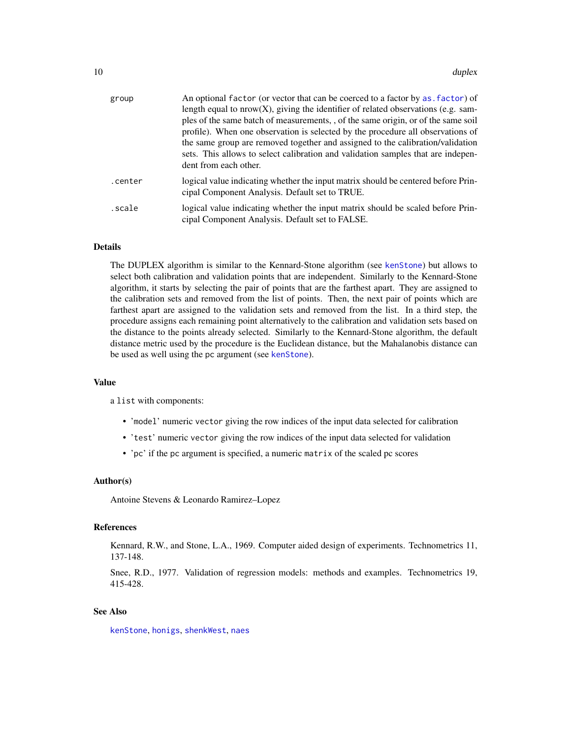<span id="page-9-0"></span>

| group   | An optional factor (or vector that can be coerced to a factor by as factor) of<br>length equal to $nrow(X)$ , giving the identifier of related observations (e.g. sam-<br>ples of the same batch of measurements, of the same origin, or of the same soil<br>profile). When one observation is selected by the procedure all observations of<br>the same group are removed together and assigned to the calibration/validation<br>sets. This allows to select calibration and validation samples that are indepen-<br>dent from each other. |
|---------|---------------------------------------------------------------------------------------------------------------------------------------------------------------------------------------------------------------------------------------------------------------------------------------------------------------------------------------------------------------------------------------------------------------------------------------------------------------------------------------------------------------------------------------------|
| .center | logical value indicating whether the input matrix should be centered before Prin-<br>cipal Component Analysis. Default set to TRUE.                                                                                                                                                                                                                                                                                                                                                                                                         |
| scale.  | logical value indicating whether the input matrix should be scaled before Prin-<br>cipal Component Analysis. Default set to FALSE.                                                                                                                                                                                                                                                                                                                                                                                                          |

# Details

The DUPLEX algorithm is similar to the Kennard-Stone algorithm (see [kenStone](#page-13-1)) but allows to select both calibration and validation points that are independent. Similarly to the Kennard-Stone algorithm, it starts by selecting the pair of points that are the farthest apart. They are assigned to the calibration sets and removed from the list of points. Then, the next pair of points which are farthest apart are assigned to the validation sets and removed from the list. In a third step, the procedure assigns each remaining point alternatively to the calibration and validation sets based on the distance to the points already selected. Similarly to the Kennard-Stone algorithm, the default distance metric used by the procedure is the Euclidean distance, but the Mahalanobis distance can be used as well using the pc argument (see [kenStone](#page-13-1)).

# Value

a list with components:

- 'model' numeric vector giving the row indices of the input data selected for calibration
- 'test' numeric vector giving the row indices of the input data selected for validation
- 'pc' if the pc argument is specified, a numeric matrix of the scaled pc scores

#### Author(s)

Antoine Stevens & Leonardo Ramirez–Lopez

#### References

Kennard, R.W., and Stone, L.A., 1969. Computer aided design of experiments. Technometrics 11, 137-148.

Snee, R.D., 1977. Validation of regression models: methods and examples. Technometrics 19, 415-428.

# See Also

[kenStone](#page-13-1), [honigs](#page-11-1), [shenkWest](#page-26-1), [naes](#page-16-1)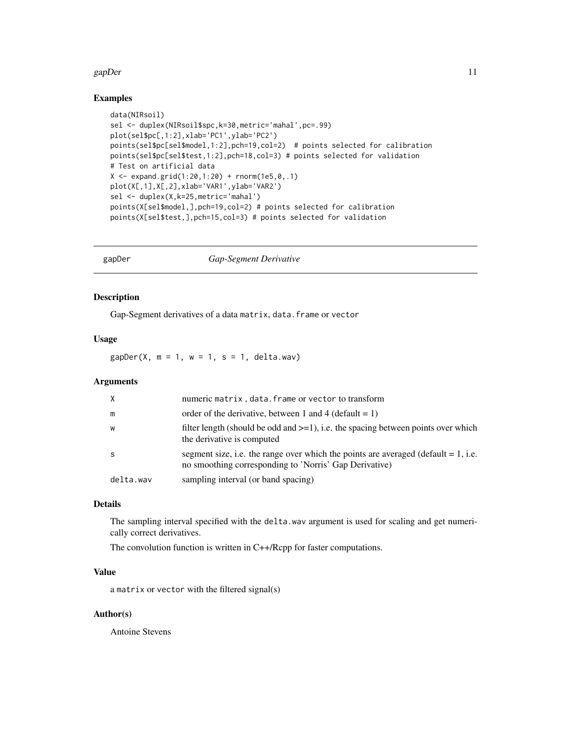#### <span id="page-10-0"></span>gapDer and the state of the state of the state of the state of the state of the state of the state of the state of the state of the state of the state of the state of the state of the state of the state of the state of the

# Examples

```
data(NIRsoil)
sel <- duplex(NIRsoil$spc,k=30,metric='mahal',pc=.99)
plot(sel$pc[,1:2],xlab='PC1',ylab='PC2')
points(sel$pc[sel$model,1:2],pch=19,col=2) # points selected for calibration
points(sel$pc[sel$test,1:2],pch=18,col=3) # points selected for validation
# Test on artificial data
X \le - expand.grid(1:20,1:20) + rnorm(1e5,0,.1)
plot(X[,1],X[,2],xlab='VAR1',ylab='VAR2')
sel <- duplex(X,k=25,metric='mahal')
points(X[sel$model,],pch=19,col=2) # points selected for calibration
points(X[sel$test,],pch=15,col=3) # points selected for validation
```
<span id="page-10-1"></span>

gapDer *Gap-Segment Derivative*

# Description

Gap-Segment derivatives of a data matrix, data.frame or vector

## Usage

 $gapDer(X, m = 1, w = 1, s = 1, delta.wav)$ 

# Arguments

| $\times$  | numeric matrix, data. frame or vector to transform                                                                                              |
|-----------|-------------------------------------------------------------------------------------------------------------------------------------------------|
| m         | order of the derivative, between 1 and 4 (default = 1)                                                                                          |
| W         | filter length (should be odd and $>=1$ ), i.e. the spacing between points over which<br>the derivative is computed                              |
| -S        | segment size, i.e. the range over which the points are averaged (default $= 1$ , i.e.<br>no smoothing corresponding to 'Norris' Gap Derivative) |
| delta.wav | sampling interval (or band spacing)                                                                                                             |

# Details

The sampling interval specified with the delta.wav argument is used for scaling and get numerically correct derivatives.

The convolution function is written in C++/Rcpp for faster computations.

# Value

a matrix or vector with the filtered signal(s)

# Author(s)

Antoine Stevens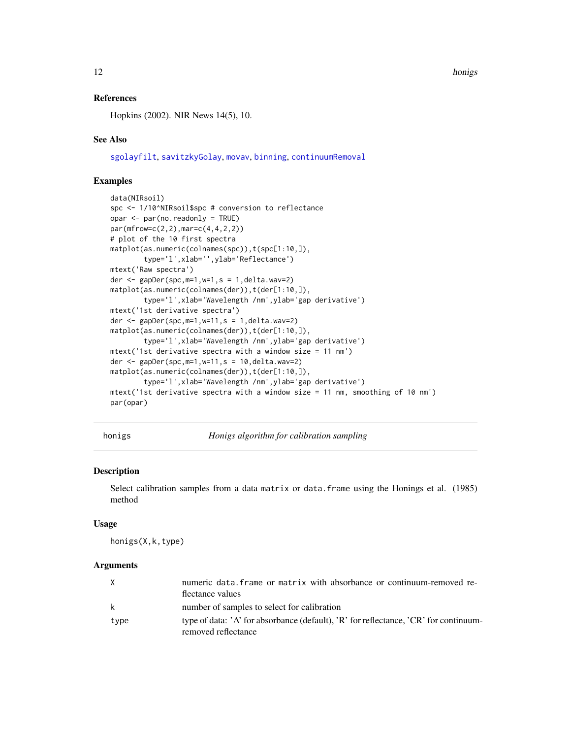12 honigs and the contract of the contract of the contract of the contract of the contract of the contract of the contract of the contract of the contract of the contract of the contract of the contract of the contract of

## References

Hopkins (2002). NIR News 14(5), 10.

#### See Also

[sgolayfilt](#page-0-0), [savitzkyGolay](#page-25-1), [movav](#page-15-1), [binning](#page-1-1), [continuumRemoval](#page-6-1)

# Examples

```
data(NIRsoil)
spc <- 1/10^NIRsoil$spc # conversion to reflectance
opar <- par(no.readonly = TRUE)
par(mfrow=c(2,2),mar=c(4,4,2,2))
# plot of the 10 first spectra
matplot(as.numeric(colnames(spc)),t(spc[1:10,]),
        type='l',xlab='',ylab='Reflectance')
mtext('Raw spectra')
der <- gapDer(spc,m=1,w=1,s = 1,delta.wav=2)
matplot(as.numeric(colnames(der)),t(der[1:10,]),
        type='l',xlab='Wavelength /nm',ylab='gap derivative')
mtext('1st derivative spectra')
der \leq gapDer(spc, m=1, w=11, s = 1, delta.wav=2)
matplot(as.numeric(colnames(der)),t(der[1:10,]),
        type='l',xlab='Wavelength /nm',ylab='gap derivative')
mtext('1st derivative spectra with a window size = 11 nm')
der <- gapDer(spc, m=1, w=11, s = 10, delta.wav=2)
matplot(as.numeric(colnames(der)),t(der[1:10,]),
        type='l',xlab='Wavelength /nm',ylab='gap derivative')
mtext('1st derivative spectra with a window size = 11 nm, smoothing of 10 nm')
par(opar)
```
<span id="page-11-1"></span>honigs *Honigs algorithm for calibration sampling*

#### Description

Select calibration samples from a data matrix or data.frame using the Honings et al. (1985) method

#### Usage

honigs(X,k,type)

#### Arguments

|      | numeric data. frame or matrix with absorbance or continuum-removed re-                                      |
|------|-------------------------------------------------------------------------------------------------------------|
|      | flectance values                                                                                            |
| k    | number of samples to select for calibration                                                                 |
| type | type of data: 'A' for absorbance (default), 'R' for reflectance, 'CR' for continuum-<br>removed reflectance |

<span id="page-11-0"></span>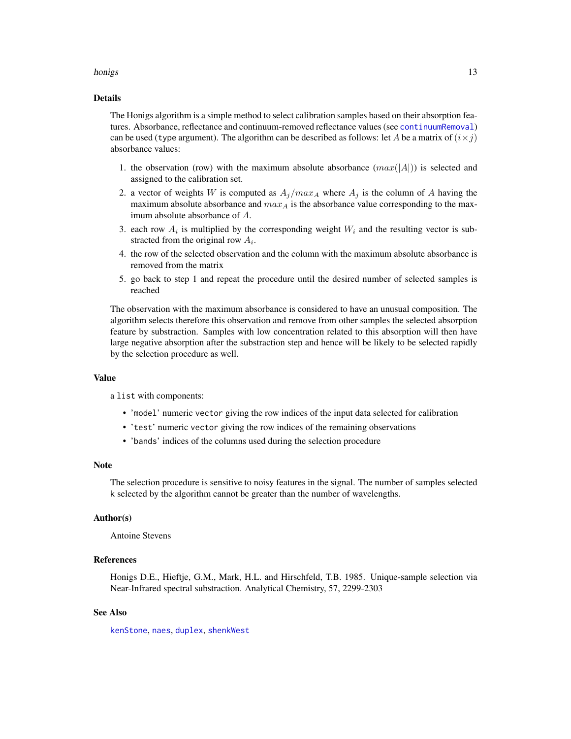#### <span id="page-12-0"></span>honigs and the contract of the contract of the contract of the contract of the contract of the contract of the contract of the contract of the contract of the contract of the contract of the contract of the contract of the

#### Details

The Honigs algorithm is a simple method to select calibration samples based on their absorption features. Absorbance, reflectance and continuum-removed reflectance values (see [continuumRemoval](#page-6-1)) can be used (type argument). The algorithm can be described as follows: let A be a matrix of  $(i \times j)$ absorbance values:

- 1. the observation (row) with the maximum absolute absorbance  $(max(|A|))$  is selected and assigned to the calibration set.
- 2. a vector of weights W is computed as  $A_j/max_A$  where  $A_j$  is the column of A having the maximum absolute absorbance and  $max_A$  is the absorbance value corresponding to the maximum absolute absorbance of A.
- 3. each row  $A_i$  is multiplied by the corresponding weight  $W_i$  and the resulting vector is substracted from the original row  $A_i$ .
- 4. the row of the selected observation and the column with the maximum absolute absorbance is removed from the matrix
- 5. go back to step 1 and repeat the procedure until the desired number of selected samples is reached

The observation with the maximum absorbance is considered to have an unusual composition. The algorithm selects therefore this observation and remove from other samples the selected absorption feature by substraction. Samples with low concentration related to this absorption will then have large negative absorption after the substraction step and hence will be likely to be selected rapidly by the selection procedure as well.

#### Value

a list with components:

- 'model' numeric vector giving the row indices of the input data selected for calibration
- 'test' numeric vector giving the row indices of the remaining observations
- 'bands' indices of the columns used during the selection procedure

#### Note

The selection procedure is sensitive to noisy features in the signal. The number of samples selected k selected by the algorithm cannot be greater than the number of wavelengths.

## Author(s)

Antoine Stevens

# References

Honigs D.E., Hieftje, G.M., Mark, H.L. and Hirschfeld, T.B. 1985. Unique-sample selection via Near-Infrared spectral substraction. Analytical Chemistry, 57, 2299-2303

#### See Also

[kenStone](#page-13-1), [naes](#page-16-1), [duplex](#page-8-1), [shenkWest](#page-26-1)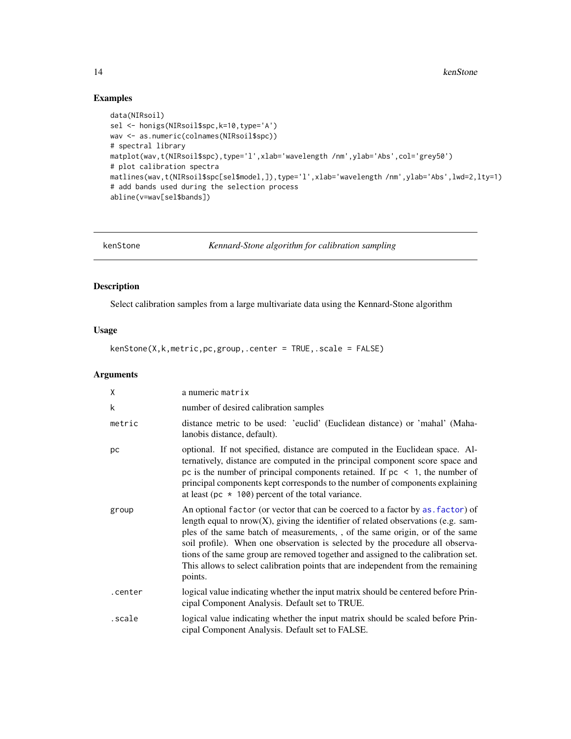# Examples

```
data(NIRsoil)
sel <- honigs(NIRsoil$spc,k=10,type='A')
wav <- as.numeric(colnames(NIRsoil$spc))
# spectral library
matplot(wav,t(NIRsoil$spc),type='l',xlab='wavelength /nm',ylab='Abs',col='grey50')
# plot calibration spectra
matlines(wav,t(NIRsoil$spc[sel$model,]),type='l',xlab='wavelength /nm',ylab='Abs',lwd=2,lty=1)
# add bands used during the selection process
abline(v=wav[sel$bands])
```
<span id="page-13-1"></span>

kenStone *Kennard-Stone algorithm for calibration sampling*

# Description

Select calibration samples from a large multivariate data using the Kennard-Stone algorithm

#### Usage

kenStone(X,k,metric,pc,group,.center = TRUE,.scale = FALSE)

# Arguments

| X       | a numeric matrix                                                                                                                                                                                                                                                                                                                                                                                                                                                                                                            |
|---------|-----------------------------------------------------------------------------------------------------------------------------------------------------------------------------------------------------------------------------------------------------------------------------------------------------------------------------------------------------------------------------------------------------------------------------------------------------------------------------------------------------------------------------|
| k       | number of desired calibration samples                                                                                                                                                                                                                                                                                                                                                                                                                                                                                       |
| metric  | distance metric to be used: 'euclid' (Euclidean distance) or 'mahal' (Maha-<br>lanobis distance, default).                                                                                                                                                                                                                                                                                                                                                                                                                  |
| рc      | optional. If not specified, distance are computed in the Euclidean space. Al-<br>ternatively, distance are computed in the principal component score space and<br>pc is the number of principal components retained. If $pc < 1$ , the number of<br>principal components kept corresponds to the number of components explaining<br>at least (pc $\star$ 100) percent of the total variance.                                                                                                                                |
| group   | An optional factor (or vector that can be coerced to a factor by as, factor) of<br>length equal to $nrow(X)$ , giving the identifier of related observations (e.g. sam-<br>ples of the same batch of measurements,, of the same origin, or of the same<br>soil profile). When one observation is selected by the procedure all observa-<br>tions of the same group are removed together and assigned to the calibration set.<br>This allows to select calibration points that are independent from the remaining<br>points. |
| .center | logical value indicating whether the input matrix should be centered before Prin-<br>cipal Component Analysis. Default set to TRUE.                                                                                                                                                                                                                                                                                                                                                                                         |
| scale.  | logical value indicating whether the input matrix should be scaled before Prin-<br>cipal Component Analysis. Default set to FALSE.                                                                                                                                                                                                                                                                                                                                                                                          |

<span id="page-13-0"></span>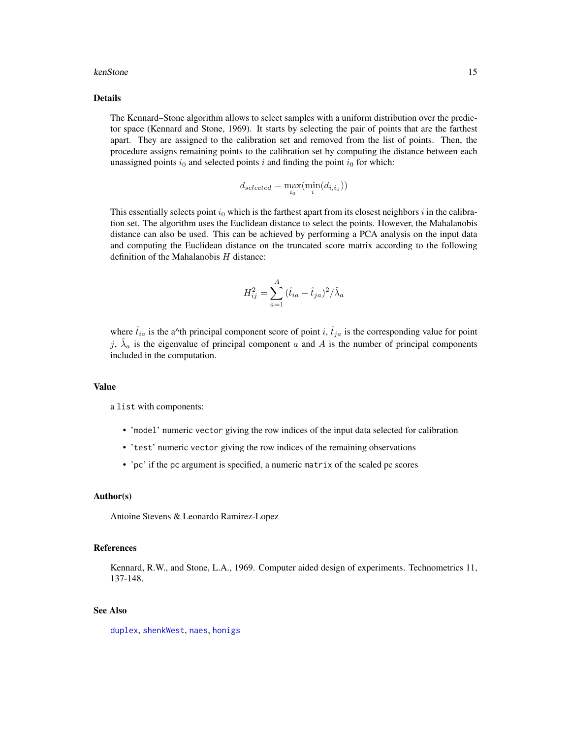#### <span id="page-14-0"></span>kenStone 15

#### Details

The Kennard–Stone algorithm allows to select samples with a uniform distribution over the predictor space (Kennard and Stone, 1969). It starts by selecting the pair of points that are the farthest apart. They are assigned to the calibration set and removed from the list of points. Then, the procedure assigns remaining points to the calibration set by computing the distance between each unassigned points  $i_0$  and selected points i and finding the point  $i_0$  for which:

$$
d_{selected} = \max_{i_0}(\min_i(d_{i,i_0}))
$$

This essentially selects point  $i_0$  which is the farthest apart from its closest neighbors i in the calibration set. The algorithm uses the Euclidean distance to select the points. However, the Mahalanobis distance can also be used. This can be achieved by performing a PCA analysis on the input data and computing the Euclidean distance on the truncated score matrix according to the following definition of the Mahalanobis  $H$  distance:

$$
H_{ij}^{2} = \sum_{a=1}^{A} (\hat{t}_{ia} - \hat{t}_{ja})^{2} / \hat{\lambda}_{a}
$$

where  $t_{ia}$  is the a^th principal component score of point i,  $\hat{t}_{ja}$  is the corresponding value for point j,  $\hat{\lambda}_a$  is the eigenvalue of principal component a and A is the number of principal components included in the computation.

#### Value

a list with components:

- 'model' numeric vector giving the row indices of the input data selected for calibration
- 'test' numeric vector giving the row indices of the remaining observations
- 'pc' if the pc argument is specified, a numeric matrix of the scaled pc scores

#### Author(s)

Antoine Stevens & Leonardo Ramirez-Lopez

#### References

Kennard, R.W., and Stone, L.A., 1969. Computer aided design of experiments. Technometrics 11, 137-148.

#### See Also

[duplex](#page-8-1), [shenkWest](#page-26-1), [naes](#page-16-1), [honigs](#page-11-1)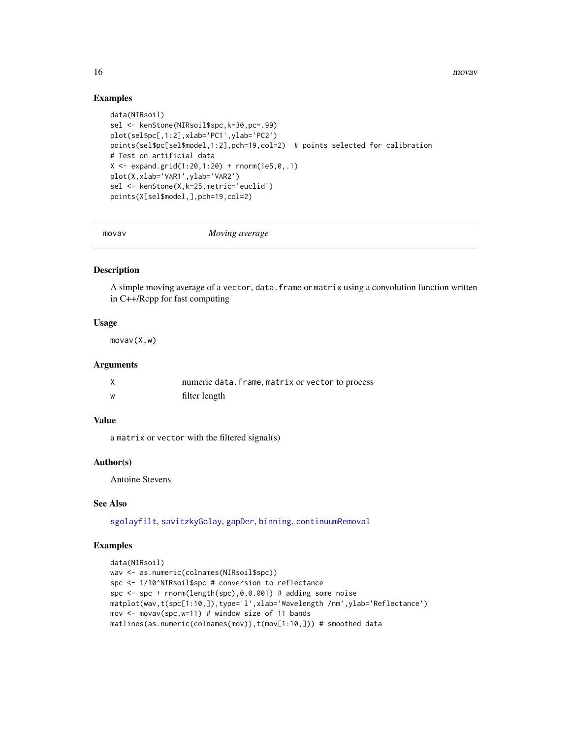<span id="page-15-0"></span>16 movav

# Examples

```
data(NIRsoil)
sel <- kenStone(NIRsoil$spc,k=30,pc=.99)
plot(sel$pc[,1:2],xlab='PC1',ylab='PC2')
points(sel$pc[sel$model,1:2],pch=19,col=2) # points selected for calibration
# Test on artificial data
X \le - expand.grid(1:20,1:20) + rnorm(1e5,0,.1)
plot(X,xlab='VAR1',ylab='VAR2')
sel <- kenStone(X,k=25,metric='euclid')
points(X[sel$model,],pch=19,col=2)
```
<span id="page-15-1"></span>

movav *Moving average*

# Description

A simple moving average of a vector, data. frame or matrix using a convolution function written in C++/Rcpp for fast computing

# Usage

movav(X,w)

#### Arguments

|   | numeric data. frame, matrix or vector to process |
|---|--------------------------------------------------|
| W | filter length                                    |

# Value

a matrix or vector with the filtered signal(s)

#### Author(s)

Antoine Stevens

# See Also

[sgolayfilt](#page-0-0), [savitzkyGolay](#page-25-1), [gapDer](#page-10-1), [binning](#page-1-1), [continuumRemoval](#page-6-1)

# Examples

```
data(NIRsoil)
wav <- as.numeric(colnames(NIRsoil$spc))
spc <- 1/10^NIRsoil$spc # conversion to reflectance
spc <- spc + rnorm(length(spc),0,0.001) # adding some noise
matplot(wav,t(spc[1:10,]),type='l',xlab='Wavelength /nm',ylab='Reflectance')
mov \leq movav(spc, w=11) # window size of 11 bands
matlines(as.numeric(colnames(mov)),t(mov[1:10,])) # smoothed data
```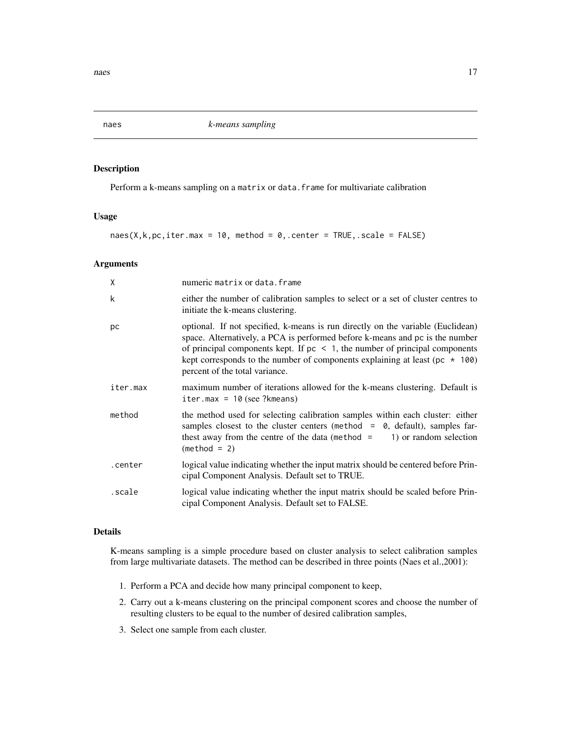<span id="page-16-1"></span><span id="page-16-0"></span>

# **Description**

Perform a k-means sampling on a matrix or data. frame for multivariate calibration

#### Usage

```
naes(X, k, pc, iter.max = 10, method = 0, center = TRUE, scale = FALSE)
```
# Arguments

| X        | numeric matrix or data. frame                                                                                                                                                                                                                                                                                                                                          |
|----------|------------------------------------------------------------------------------------------------------------------------------------------------------------------------------------------------------------------------------------------------------------------------------------------------------------------------------------------------------------------------|
| k        | either the number of calibration samples to select or a set of cluster centres to<br>initiate the k-means clustering.                                                                                                                                                                                                                                                  |
| рc       | optional. If not specified, k-means is run directly on the variable (Euclidean)<br>space. Alternatively, a PCA is performed before k-means and pc is the number<br>of principal components kept. If $pc < 1$ , the number of principal components<br>kept corresponds to the number of components explaining at least ( $pc * 100$ )<br>percent of the total variance. |
| iter.max | maximum number of iterations allowed for the k-means clustering. Default is<br>iter.max = $10$ (see ?kmeans)                                                                                                                                                                                                                                                           |
| method   | the method used for selecting calibration samples within each cluster: either<br>samples closest to the cluster centers (method = $\theta$ , default), samples far-<br>thest away from the centre of the data (method $=$<br>1) or random selection<br>$(method = 2)$                                                                                                  |
| .center  | logical value indicating whether the input matrix should be centered before Prin-<br>cipal Component Analysis. Default set to TRUE.                                                                                                                                                                                                                                    |
| scale.   | logical value indicating whether the input matrix should be scaled before Prin-<br>cipal Component Analysis. Default set to FALSE.                                                                                                                                                                                                                                     |

# Details

K-means sampling is a simple procedure based on cluster analysis to select calibration samples from large multivariate datasets. The method can be described in three points (Naes et al.,2001):

- 1. Perform a PCA and decide how many principal component to keep,
- 2. Carry out a k-means clustering on the principal component scores and choose the number of resulting clusters to be equal to the number of desired calibration samples,
- 3. Select one sample from each cluster.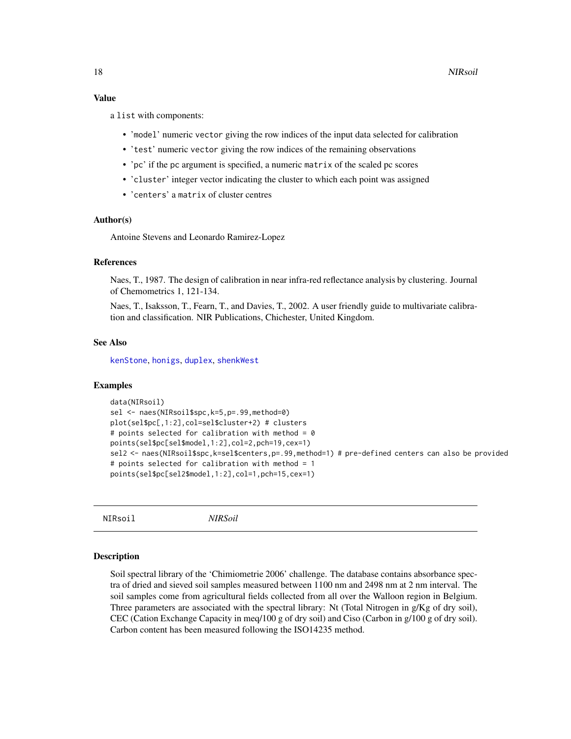#### <span id="page-17-0"></span>Value

a list with components:

- 'model' numeric vector giving the row indices of the input data selected for calibration
- 'test' numeric vector giving the row indices of the remaining observations
- 'pc' if the pc argument is specified, a numeric matrix of the scaled pc scores
- 'cluster' integer vector indicating the cluster to which each point was assigned
- 'centers' a matrix of cluster centres

# Author(s)

Antoine Stevens and Leonardo Ramirez-Lopez

# References

Naes, T., 1987. The design of calibration in near infra-red reflectance analysis by clustering. Journal of Chemometrics 1, 121-134.

Naes, T., Isaksson, T., Fearn, T., and Davies, T., 2002. A user friendly guide to multivariate calibration and classification. NIR Publications, Chichester, United Kingdom.

#### See Also

[kenStone](#page-13-1), [honigs](#page-11-1), [duplex](#page-8-1), [shenkWest](#page-26-1)

#### Examples

```
data(NIRsoil)
sel <- naes(NIRsoil$spc,k=5,p=.99,method=0)
plot(sel$pc[,1:2],col=sel$cluster+2) # clusters
# points selected for calibration with method = 0
points(sel$pc[sel$model,1:2],col=2,pch=19,cex=1)
sel2 <- naes(NIRsoil$spc,k=sel$centers,p=.99,method=1) # pre-defined centers can also be provided
# points selected for calibration with method = 1
points(sel$pc[sel2$model,1:2],col=1,pch=15,cex=1)
```
NIRsoil *NIRSoil*

#### **Description**

Soil spectral library of the 'Chimiometrie 2006' challenge. The database contains absorbance spectra of dried and sieved soil samples measured between 1100 nm and 2498 nm at 2 nm interval. The soil samples come from agricultural fields collected from all over the Walloon region in Belgium. Three parameters are associated with the spectral library: Nt (Total Nitrogen in g/Kg of dry soil), CEC (Cation Exchange Capacity in meq/100 g of dry soil) and Ciso (Carbon in g/100 g of dry soil). Carbon content has been measured following the ISO14235 method.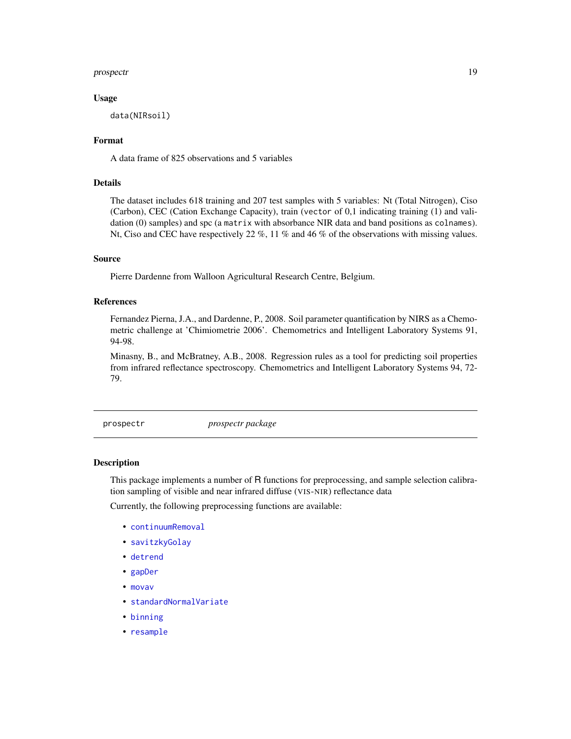#### <span id="page-18-0"></span>prospectr and the set of the set of the set of the set of the set of the set of the set of the set of the set of the set of the set of the set of the set of the set of the set of the set of the set of the set of the set of

#### Usage

data(NIRsoil)

## Format

A data frame of 825 observations and 5 variables

## Details

The dataset includes 618 training and 207 test samples with 5 variables: Nt (Total Nitrogen), Ciso (Carbon), CEC (Cation Exchange Capacity), train (vector of 0,1 indicating training (1) and validation (0) samples) and spc (a matrix with absorbance NIR data and band positions as colnames). Nt, Ciso and CEC have respectively 22 %, 11 % and 46 % of the observations with missing values.

## Source

Pierre Dardenne from Walloon Agricultural Research Centre, Belgium.

# References

Fernandez Pierna, J.A., and Dardenne, P., 2008. Soil parameter quantification by NIRS as a Chemometric challenge at 'Chimiometrie 2006'. Chemometrics and Intelligent Laboratory Systems 91, 94-98.

Minasny, B., and McBratney, A.B., 2008. Regression rules as a tool for predicting soil properties from infrared reflectance spectroscopy. Chemometrics and Intelligent Laboratory Systems 94, 72- 79.

prospectr *prospectr package*

#### Description

This package implements a number of R functions for preprocessing, and sample selection calibration sampling of visible and near infrared diffuse (VIS-NIR) reflectance data

Currently, the following preprocessing functions are available:

- [continuumRemoval](#page-6-1)
- [savitzkyGolay](#page-25-1)
- [detrend](#page-7-1)
- [gapDer](#page-10-1)
- [movav](#page-15-1)
- [standardNormalVariate](#page-29-1)
- [binning](#page-1-1)
- [resample](#page-23-1)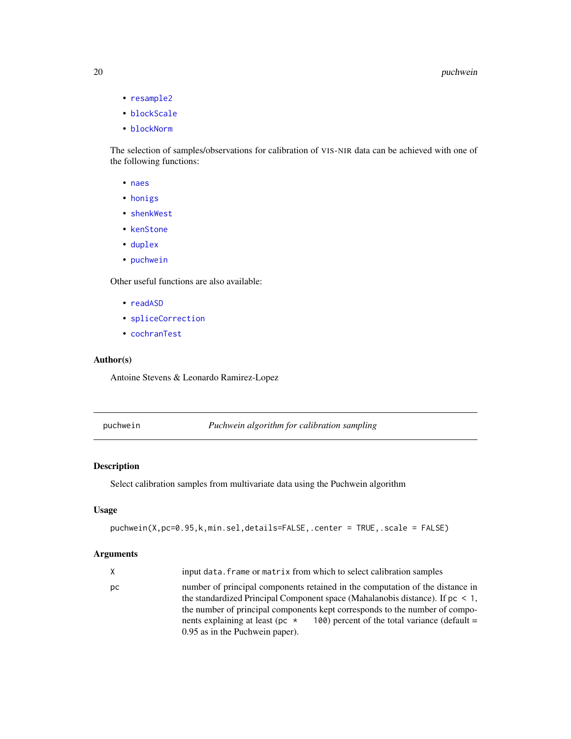- [resample2](#page-24-1)
- [blockScale](#page-3-1)
- [blockNorm](#page-2-1)

The selection of samples/observations for calibration of VIS-NIR data can be achieved with one of the following functions:

- [naes](#page-16-1)
- [honigs](#page-11-1)
- [shenkWest](#page-26-1)
- [kenStone](#page-13-1)
- [duplex](#page-8-1)
- [puchwein](#page-19-1)

Other useful functions are also available:

- [readASD](#page-21-1)
- [spliceCorrection](#page-28-1)
- [cochranTest](#page-4-1)

# Author(s)

Antoine Stevens & Leonardo Ramirez-Lopez

<span id="page-19-1"></span>puchwein *Puchwein algorithm for calibration sampling*

#### Description

Select calibration samples from multivariate data using the Puchwein algorithm

#### Usage

```
puchwein(X,pc=0.95,k,min.sel,details=FALSE,.center = TRUE,.scale = FALSE)
```
# Arguments

| X. | input data. frame or matrix from which to select calibration samples                                                                                                                                                                                                                                                                                                            |  |
|----|---------------------------------------------------------------------------------------------------------------------------------------------------------------------------------------------------------------------------------------------------------------------------------------------------------------------------------------------------------------------------------|--|
| pс | number of principal components retained in the computation of the distance in<br>the standardized Principal Component space (Mahalanobis distance). If $pc < 1$ ,<br>the number of principal components kept corresponds to the number of compo-<br>100) percent of the total variance (default $=$<br>nents explaining at least (pc $\star$<br>0.95 as in the Puchwein paper). |  |

<span id="page-19-0"></span>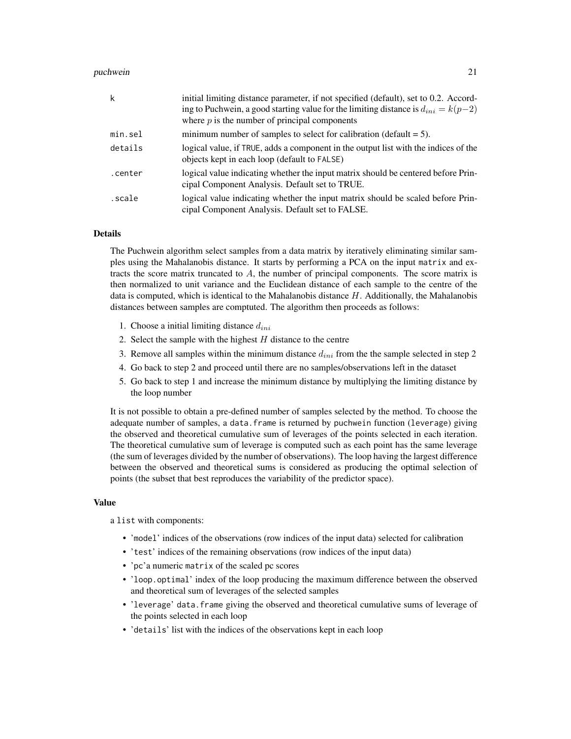#### puchwein 21

| k       | initial limiting distance parameter, if not specified (default), set to 0.2. Accord-<br>ing to Puchwein, a good starting value for the limiting distance is $d_{ini} = k(p-2)$<br>where $p$ is the number of principal components |
|---------|-----------------------------------------------------------------------------------------------------------------------------------------------------------------------------------------------------------------------------------|
| min.sel | minimum number of samples to select for calibration (default $= 5$ ).                                                                                                                                                             |
| details | logical value, if TRUE, adds a component in the output list with the indices of the<br>objects kept in each loop (default to FALSE)                                                                                               |
| .center | logical value indicating whether the input matrix should be centered before Prin-<br>cipal Component Analysis. Default set to TRUE.                                                                                               |
| scale.  | logical value indicating whether the input matrix should be scaled before Prin-<br>cipal Component Analysis. Default set to FALSE.                                                                                                |

#### Details

The Puchwein algorithm select samples from a data matrix by iteratively eliminating similar samples using the Mahalanobis distance. It starts by performing a PCA on the input matrix and extracts the score matrix truncated to A, the number of principal components. The score matrix is then normalized to unit variance and the Euclidean distance of each sample to the centre of the data is computed, which is identical to the Mahalanobis distance  $H$ . Additionally, the Mahalanobis distances between samples are comptuted. The algorithm then proceeds as follows:

- 1. Choose a initial limiting distance  $d_{ini}$
- 2. Select the sample with the highest  $H$  distance to the centre
- 3. Remove all samples within the minimum distance  $d_{ini}$  from the the sample selected in step 2
- 4. Go back to step 2 and proceed until there are no samples/observations left in the dataset
- 5. Go back to step 1 and increase the minimum distance by multiplying the limiting distance by the loop number

It is not possible to obtain a pre-defined number of samples selected by the method. To choose the adequate number of samples, a data.frame is returned by puchwein function (leverage) giving the observed and theoretical cumulative sum of leverages of the points selected in each iteration. The theoretical cumulative sum of leverage is computed such as each point has the same leverage (the sum of leverages divided by the number of observations). The loop having the largest difference between the observed and theoretical sums is considered as producing the optimal selection of points (the subset that best reproduces the variability of the predictor space).

#### Value

a list with components:

- 'model' indices of the observations (row indices of the input data) selected for calibration
- 'test' indices of the remaining observations (row indices of the input data)
- 'pc'a numeric matrix of the scaled pc scores
- 'loop.optimal' index of the loop producing the maximum difference between the observed and theoretical sum of leverages of the selected samples
- 'leverage' data. frame giving the observed and theoretical cumulative sums of leverage of the points selected in each loop
- 'details' list with the indices of the observations kept in each loop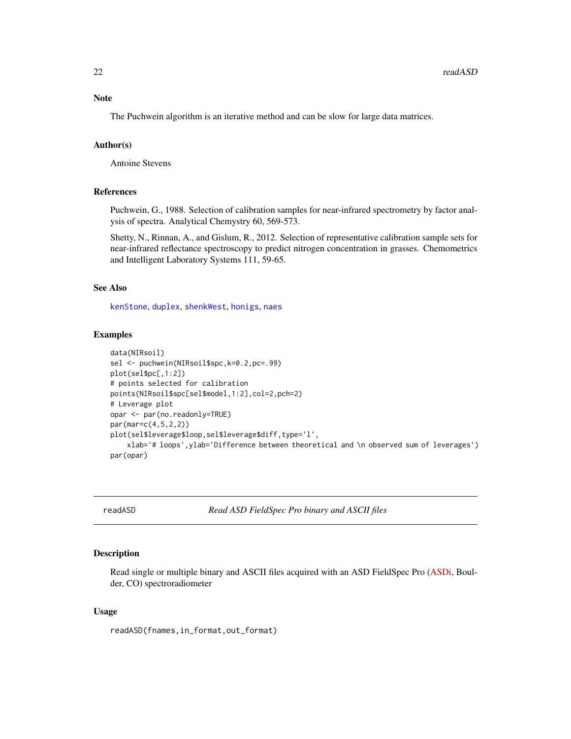<span id="page-21-0"></span>Note

The Puchwein algorithm is an iterative method and can be slow for large data matrices.

#### Author(s)

Antoine Stevens

#### References

Puchwein, G., 1988. Selection of calibration samples for near-infrared spectrometry by factor analysis of spectra. Analytical Chemystry 60, 569-573.

Shetty, N., Rinnan, A., and Gislum, R., 2012. Selection of representative calibration sample sets for near-infrared reflectance spectroscopy to predict nitrogen concentration in grasses. Chemometrics and Intelligent Laboratory Systems 111, 59-65.

#### See Also

[kenStone](#page-13-1), [duplex](#page-8-1), [shenkWest](#page-26-1), [honigs](#page-11-1), [naes](#page-16-1)

#### Examples

```
data(NIRsoil)
sel <- puchwein(NIRsoil$spc,k=0.2,pc=.99)
plot(sel$pc[,1:2])
# points selected for calibration
points(NIRsoil$spc[sel$model,1:2],col=2,pch=2)
# Leverage plot
opar <- par(no.readonly=TRUE)
par(mar=c(4,5,2,2))
plot(sel$leverage$loop,sel$leverage$diff,type='l',
    xlab='# loops',ylab='Difference between theoretical and \n observed sum of leverages')
par(opar)
```
<span id="page-21-1"></span>readASD *Read ASD FieldSpec Pro binary and ASCII files*

## Description

Read single or multiple binary and ASCII files acquired with an ASD FieldSpec Pro [\(ASDi,](http://www.asdi.com/) Boulder, CO) spectroradiometer

#### Usage

readASD(fnames,in\_format,out\_format)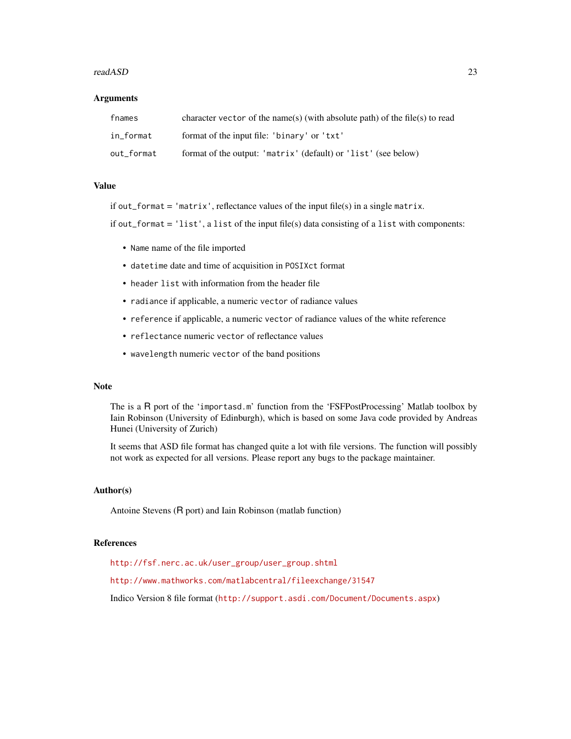#### readASD 23

#### Arguments

| fnames     | character vector of the name(s) (with absolute path) of the file(s) to read |
|------------|-----------------------------------------------------------------------------|
| in_format  | format of the input file: 'binary' or 'txt'                                 |
| out_format | format of the output: 'matrix' (default) or 'list' (see below)              |

# Value

if out\_format = 'matrix', reflectance values of the input file(s) in a single matrix.

if out\_format = 'list', a list of the input file(s) data consisting of a list with components:

- Name name of the file imported
- datetime date and time of acquisition in POSIXct format
- header list with information from the header file
- radiance if applicable, a numeric vector of radiance values
- reference if applicable, a numeric vector of radiance values of the white reference
- reflectance numeric vector of reflectance values
- wavelength numeric vector of the band positions

#### Note

The is a R port of the 'importasd.m' function from the 'FSFPostProcessing' Matlab toolbox by Iain Robinson (University of Edinburgh), which is based on some Java code provided by Andreas Hunei (University of Zurich)

It seems that ASD file format has changed quite a lot with file versions. The function will possibly not work as expected for all versions. Please report any bugs to the package maintainer.

#### Author(s)

Antoine Stevens (R port) and Iain Robinson (matlab function)

#### References

[http://fsf.nerc.ac.uk/user\\_group/user\\_group.shtml](http://fsf.nerc.ac.uk/user_group/user_group.shtml) <http://www.mathworks.com/matlabcentral/fileexchange/31547> Indico Version 8 file format (<http://support.asdi.com/Document/Documents.aspx>)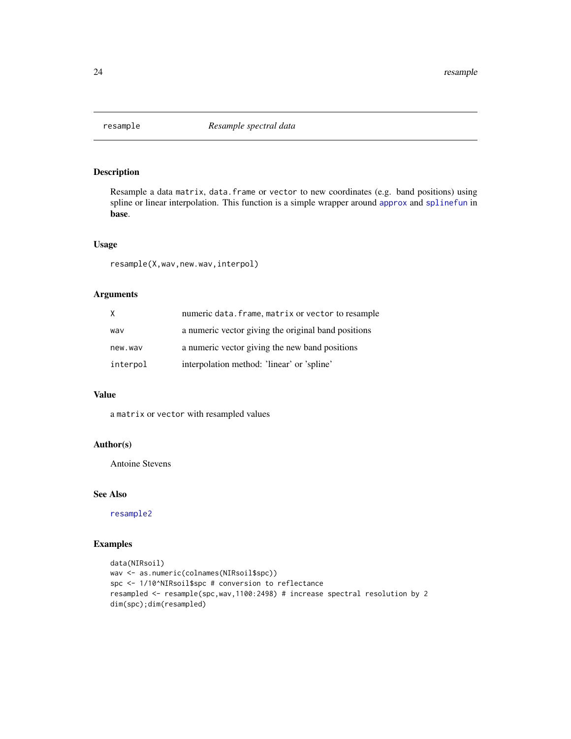<span id="page-23-1"></span><span id="page-23-0"></span>

# Description

Resample a data matrix, data.frame or vector to new coordinates (e.g. band positions) using spline or linear interpolation. This function is a simple wrapper around [approx](#page-0-0) and [splinefun](#page-0-0) in base.

# Usage

resample(X,wav,new.wav,interpol)

# Arguments

| X        | numeric data. frame, matrix or vector to resample   |
|----------|-----------------------------------------------------|
| wav      | a numeric vector giving the original band positions |
| new.wav  | a numeric vector giving the new band positions      |
| interpol | interpolation method: 'linear' or 'spline'          |

# Value

a matrix or vector with resampled values

#### Author(s)

Antoine Stevens

#### See Also

[resample2](#page-24-1)

# Examples

```
data(NIRsoil)
wav <- as.numeric(colnames(NIRsoil$spc))
spc <- 1/10^NIRsoil$spc # conversion to reflectance
resampled <- resample(spc,wav,1100:2498) # increase spectral resolution by 2
dim(spc);dim(resampled)
```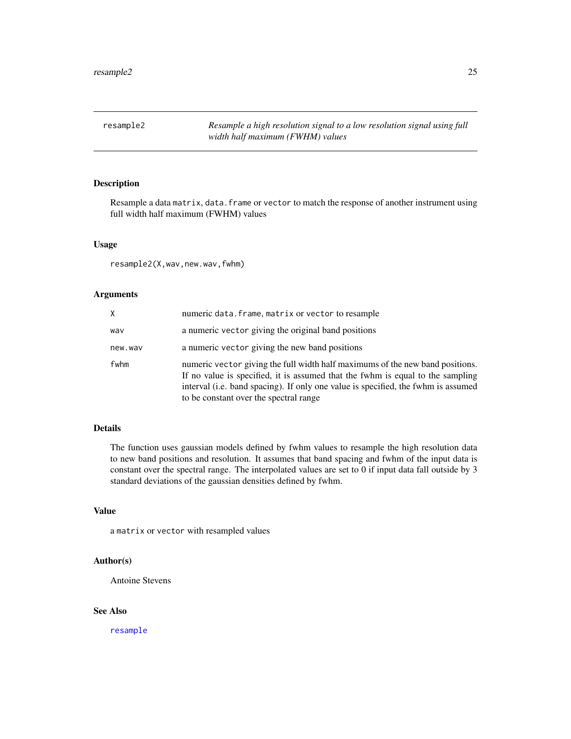<span id="page-24-1"></span><span id="page-24-0"></span>resample2 *Resample a high resolution signal to a low resolution signal using full width half maximum (FWHM) values*

# Description

Resample a data matrix, data. frame or vector to match the response of another instrument using full width half maximum (FWHM) values

#### Usage

resample2(X,wav,new.wav,fwhm)

# Arguments

| X.      | numeric data. frame, matrix or vector to resample                                                                                                                                                                                                                                              |
|---------|------------------------------------------------------------------------------------------------------------------------------------------------------------------------------------------------------------------------------------------------------------------------------------------------|
| wav     | a numeric vector giving the original band positions                                                                                                                                                                                                                                            |
| new.wav | a numeric vector giving the new band positions                                                                                                                                                                                                                                                 |
| fwhm    | numeric vector giving the full width half maximums of the new band positions.<br>If no value is specified, it is assumed that the fwhm is equal to the sampling<br>interval (i.e. band spacing). If only one value is specified, the fwhm is assumed<br>to be constant over the spectral range |

#### Details

The function uses gaussian models defined by fwhm values to resample the high resolution data to new band positions and resolution. It assumes that band spacing and fwhm of the input data is constant over the spectral range. The interpolated values are set to 0 if input data fall outside by 3 standard deviations of the gaussian densities defined by fwhm.

# Value

a matrix or vector with resampled values

#### Author(s)

Antoine Stevens

# See Also

[resample](#page-23-1)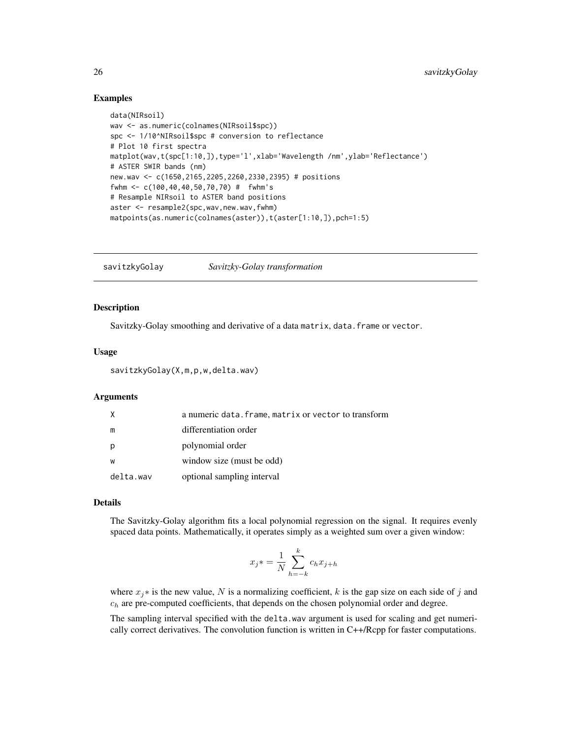# <span id="page-25-0"></span>Examples

```
data(NIRsoil)
wav <- as.numeric(colnames(NIRsoil$spc))
spc <- 1/10^NIRsoil$spc # conversion to reflectance
# Plot 10 first spectra
matplot(wav,t(spc[1:10,]),type='l',xlab='Wavelength /nm',ylab='Reflectance')
# ASTER SWIR bands (nm)
new.wav <- c(1650,2165,2205,2260,2330,2395) # positions
fwhm <- c(100,40,40,50,70,70) # fwhm's
# Resample NIRsoil to ASTER band positions
aster <- resample2(spc,wav,new.wav,fwhm)
matpoints(as.numeric(colnames(aster)),t(aster[1:10,]),pch=1:5)
```
<span id="page-25-1"></span>savitzkyGolay *Savitzky-Golay transformation*

#### **Description**

Savitzky-Golay smoothing and derivative of a data matrix, data.frame or vector.

#### Usage

```
savitzkyGolay(X,m,p,w,delta.wav)
```
#### Arguments

| X         | a numeric data. frame, matrix or vector to transform |
|-----------|------------------------------------------------------|
| m         | differentiation order                                |
| p         | polynomial order                                     |
| W         | window size (must be odd)                            |
| delta.wav | optional sampling interval                           |

# Details

The Savitzky-Golay algorithm fits a local polynomial regression on the signal. It requires evenly spaced data points. Mathematically, it operates simply as a weighted sum over a given window:

$$
x_j * = \frac{1}{N} \sum_{h=-k}^{k} c_h x_{j+h}
$$

where  $x_j$ ∗ is the new value, N is a normalizing coefficient, k is the gap size on each side of j and  $c_h$  are pre-computed coefficients, that depends on the chosen polynomial order and degree.

The sampling interval specified with the delta.wav argument is used for scaling and get numerically correct derivatives. The convolution function is written in C++/Rcpp for faster computations.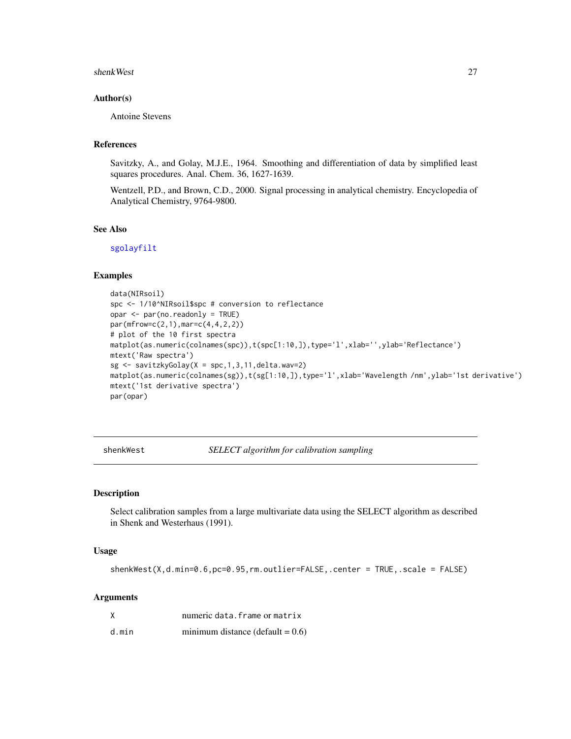#### <span id="page-26-0"></span>shenkWest 27

## Author(s)

Antoine Stevens

# References

Savitzky, A., and Golay, M.J.E., 1964. Smoothing and differentiation of data by simplified least squares procedures. Anal. Chem. 36, 1627-1639.

Wentzell, P.D., and Brown, C.D., 2000. Signal processing in analytical chemistry. Encyclopedia of Analytical Chemistry, 9764-9800.

## See Also

[sgolayfilt](#page-0-0)

## Examples

```
data(NIRsoil)
spc <- 1/10^NIRsoil$spc # conversion to reflectance
opar <- par(no.readonly = TRUE)
par(mfrow=c(2,1),mar=c(4,4,2,2))
# plot of the 10 first spectra
matplot(as.numeric(colnames(spc)),t(spc[1:10,]),type='l',xlab='',ylab='Reflectance')
mtext('Raw spectra')
sg \leftarrow savitzkyGolay(X = spc, 1, 3, 11, delta.wav=2)
matplot(as.numeric(colnames(sg)),t(sg[1:10,]),type='l',xlab='Wavelength /nm',ylab='1st derivative')
mtext('1st derivative spectra')
par(opar)
```
<span id="page-26-1"></span>shenkWest *SELECT algorithm for calibration sampling*

# Description

Select calibration samples from a large multivariate data using the SELECT algorithm as described in Shenk and Westerhaus (1991).

#### Usage

shenkWest(X,d.min=0.6,pc=0.95,rm.outlier=FALSE,.center = TRUE,.scale = FALSE)

#### Arguments

| Χ     | numeric data. frame or matrix       |
|-------|-------------------------------------|
| d.min | minimum distance (default = $0.6$ ) |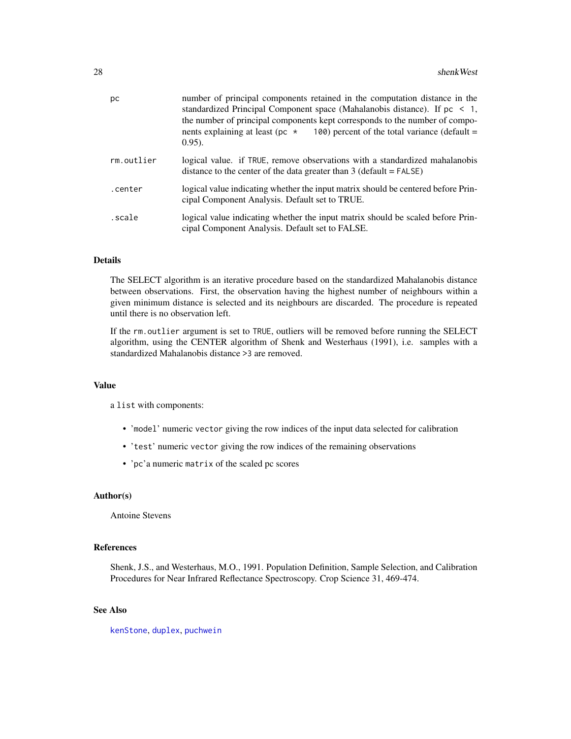<span id="page-27-0"></span>

| рc         | number of principal components retained in the computation distance in the<br>standardized Principal Component space (Mahalanobis distance). If $pc < 1$ ,<br>the number of principal components kept corresponds to the number of compo-<br>nents explaining at least (pc $\star$<br>100) percent of the total variance (default $=$<br>$(0.95)$ . |
|------------|-----------------------------------------------------------------------------------------------------------------------------------------------------------------------------------------------------------------------------------------------------------------------------------------------------------------------------------------------------|
| rm.outlier | logical value. if TRUE, remove observations with a standardized mahalanobis<br>distance to the center of the data greater than $3$ (default = FALSE)                                                                                                                                                                                                |
| .center    | logical value indicating whether the input matrix should be centered before Prin-<br>cipal Component Analysis. Default set to TRUE.                                                                                                                                                                                                                 |
| scale.     | logical value indicating whether the input matrix should be scaled before Prin-<br>cipal Component Analysis. Default set to FALSE.                                                                                                                                                                                                                  |

#### Details

The SELECT algorithm is an iterative procedure based on the standardized Mahalanobis distance between observations. First, the observation having the highest number of neighbours within a given minimum distance is selected and its neighbours are discarded. The procedure is repeated until there is no observation left.

If the rm.outlier argument is set to TRUE, outliers will be removed before running the SELECT algorithm, using the CENTER algorithm of Shenk and Westerhaus (1991), i.e. samples with a standardized Mahalanobis distance >3 are removed.

#### Value

a list with components:

- 'model' numeric vector giving the row indices of the input data selected for calibration
- 'test' numeric vector giving the row indices of the remaining observations
- 'pc'a numeric matrix of the scaled pc scores

#### Author(s)

Antoine Stevens

# References

Shenk, J.S., and Westerhaus, M.O., 1991. Population Definition, Sample Selection, and Calibration Procedures for Near Infrared Reflectance Spectroscopy. Crop Science 31, 469-474.

# See Also

[kenStone](#page-13-1), [duplex](#page-8-1), [puchwein](#page-19-1)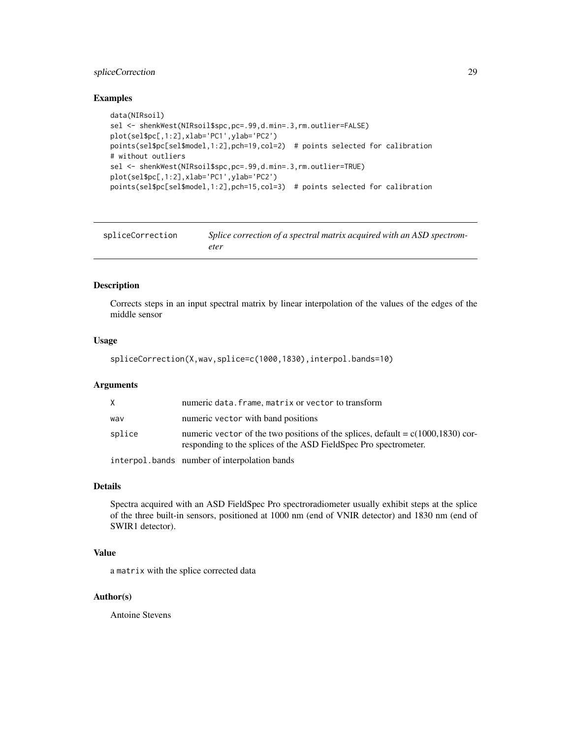# <span id="page-28-0"></span>spliceCorrection 29

#### Examples

```
data(NIRsoil)
sel <- shenkWest(NIRsoil$spc,pc=.99,d.min=.3,rm.outlier=FALSE)
plot(sel$pc[,1:2],xlab='PC1',ylab='PC2')
points(sel$pc[sel$model,1:2],pch=19,col=2) # points selected for calibration
# without outliers
sel <- shenkWest(NIRsoil$spc,pc=.99,d.min=.3,rm.outlier=TRUE)
plot(sel$pc[,1:2],xlab='PC1',ylab='PC2')
points(sel$pc[sel$model,1:2],pch=15,col=3) # points selected for calibration
```
<span id="page-28-1"></span>

| spliceCorrection | Splice correction of a spectral matrix acquired with an ASD spectrom- |
|------------------|-----------------------------------------------------------------------|
|                  | eter                                                                  |

# Description

Corrects steps in an input spectral matrix by linear interpolation of the values of the edges of the middle sensor

#### Usage

```
spliceCorrection(X,wav,splice=c(1000,1830),interpol.bands=10)
```
# Arguments

| X      | numeric data. frame, matrix or vector to transform                                                                                                     |
|--------|--------------------------------------------------------------------------------------------------------------------------------------------------------|
| way    | numeric vector with band positions                                                                                                                     |
| splice | numeric vector of the two positions of the splices, default = $c(1000, 1830)$ cor-<br>responding to the splices of the ASD FieldSpec Pro spectrometer. |
|        | interpol.bands number of interpolation bands                                                                                                           |

#### Details

Spectra acquired with an ASD FieldSpec Pro spectroradiometer usually exhibit steps at the splice of the three built-in sensors, positioned at 1000 nm (end of VNIR detector) and 1830 nm (end of SWIR1 detector).

# Value

a matrix with the splice corrected data

# Author(s)

Antoine Stevens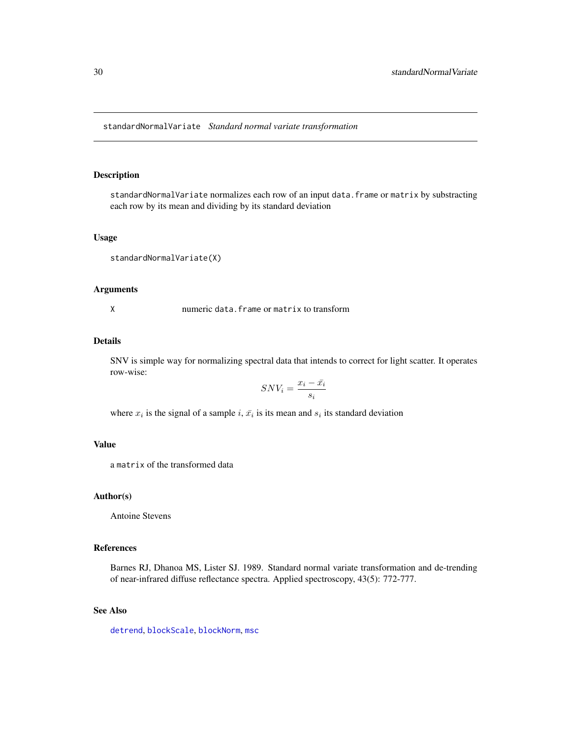<span id="page-29-1"></span><span id="page-29-0"></span>standardNormalVariate *Standard normal variate transformation*

## Description

standardNormalVariate normalizes each row of an input data.frame or matrix by substracting each row by its mean and dividing by its standard deviation

#### Usage

```
standardNormalVariate(X)
```
#### Arguments

X numeric data.frame or matrix to transform

# Details

SNV is simple way for normalizing spectral data that intends to correct for light scatter. It operates row-wise:

$$
SNV_i=\frac{x_i-\bar{x_i}}{s_i}
$$

where  $x_i$  is the signal of a sample i,  $\bar{x}_i$  is its mean and  $s_i$  its standard deviation

#### Value

a matrix of the transformed data

#### Author(s)

Antoine Stevens

#### References

Barnes RJ, Dhanoa MS, Lister SJ. 1989. Standard normal variate transformation and de-trending of near-infrared diffuse reflectance spectra. Applied spectroscopy, 43(5): 772-777.

#### See Also

[detrend](#page-7-1), [blockScale](#page-3-1), [blockNorm](#page-2-1), [msc](#page-0-0)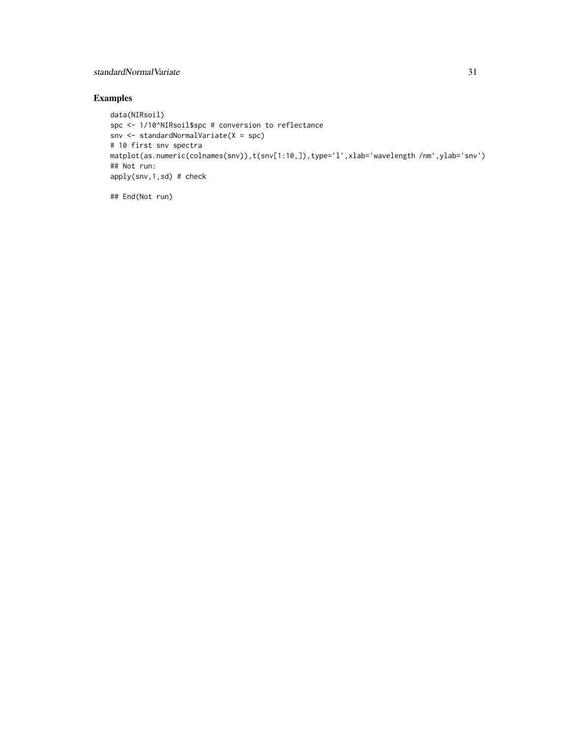# standardNormalVariate 31

# Examples

```
data(NIRsoil)
spc <- 1/10^NIRsoil$spc # conversion to reflectance
snv <- standardNormalVariate(X = spc)
# 10 first snv spectra
matplot(as.numeric(colnames(snv)),t(snv[1:10,]),type='l',xlab='wavelength /nm',ylab='snv')
## Not run:
apply(snv,1,sd) # check
```
## End(Not run)